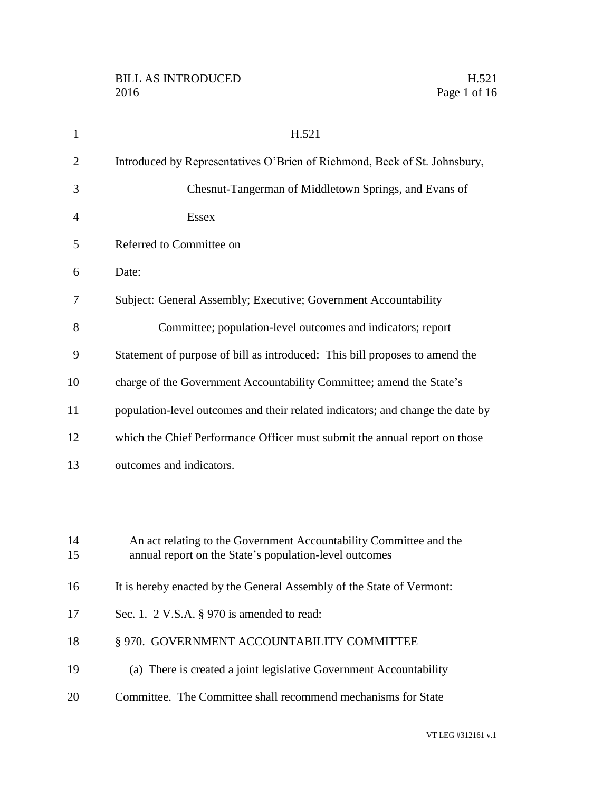| $\mathbf{1}$   | H.521                                                                                                                        |
|----------------|------------------------------------------------------------------------------------------------------------------------------|
| $\overline{2}$ | Introduced by Representatives O'Brien of Richmond, Beck of St. Johnsbury,                                                    |
| 3              | Chesnut-Tangerman of Middletown Springs, and Evans of                                                                        |
| 4              | <b>Essex</b>                                                                                                                 |
| 5              | Referred to Committee on                                                                                                     |
| 6              | Date:                                                                                                                        |
| 7              | Subject: General Assembly; Executive; Government Accountability                                                              |
| 8              | Committee; population-level outcomes and indicators; report                                                                  |
| 9              | Statement of purpose of bill as introduced: This bill proposes to amend the                                                  |
| 10             | charge of the Government Accountability Committee; amend the State's                                                         |
| 11             | population-level outcomes and their related indicators; and change the date by                                               |
| 12             | which the Chief Performance Officer must submit the annual report on those                                                   |
| 13             | outcomes and indicators.                                                                                                     |
|                |                                                                                                                              |
|                |                                                                                                                              |
| 14<br>15       | An act relating to the Government Accountability Committee and the<br>annual report on the State's population-level outcomes |
| 16             | It is hereby enacted by the General Assembly of the State of Vermont:                                                        |
| 17             | Sec. 1. $2$ V.S.A. § 970 is amended to read:                                                                                 |
| 18             | § 970. GOVERNMENT ACCOUNTABILITY COMMITTEE                                                                                   |
| 19             |                                                                                                                              |
|                | (a) There is created a joint legislative Government Accountability                                                           |
| 20             | Committee. The Committee shall recommend mechanisms for State                                                                |

VT LEG #312161 v.1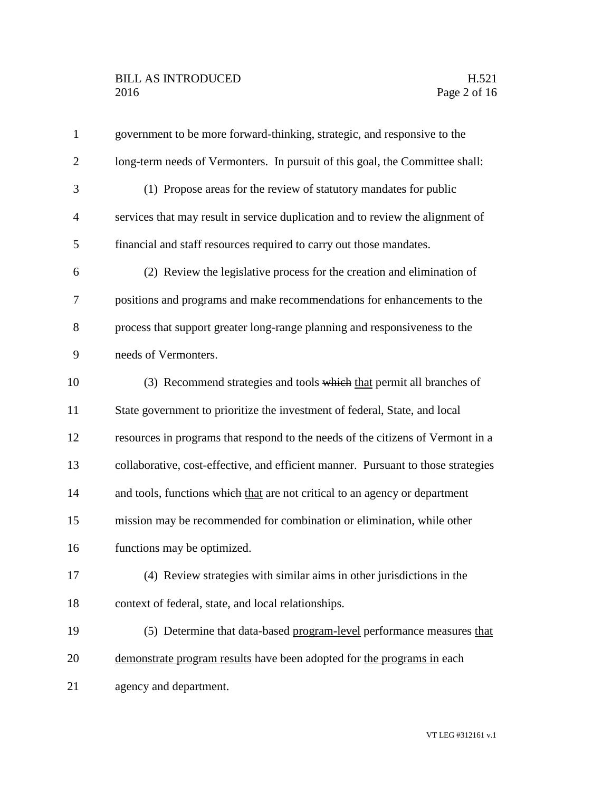### BILL AS INTRODUCED H.521 Page 2 of 16

| $\mathbf{1}$   | government to be more forward-thinking, strategic, and responsive to the          |
|----------------|-----------------------------------------------------------------------------------|
| $\overline{2}$ | long-term needs of Vermonters. In pursuit of this goal, the Committee shall:      |
| 3              | (1) Propose areas for the review of statutory mandates for public                 |
| 4              | services that may result in service duplication and to review the alignment of    |
| 5              | financial and staff resources required to carry out those mandates.               |
| 6              | (2) Review the legislative process for the creation and elimination of            |
| 7              | positions and programs and make recommendations for enhancements to the           |
| 8              | process that support greater long-range planning and responsiveness to the        |
| 9              | needs of Vermonters.                                                              |
| 10             | (3) Recommend strategies and tools which that permit all branches of              |
| 11             | State government to prioritize the investment of federal, State, and local        |
| 12             | resources in programs that respond to the needs of the citizens of Vermont in a   |
| 13             | collaborative, cost-effective, and efficient manner. Pursuant to those strategies |
| 14             | and tools, functions which that are not critical to an agency or department       |
| 15             | mission may be recommended for combination or elimination, while other            |
| 16             | functions may be optimized.                                                       |
| 17             | (4) Review strategies with similar aims in other jurisdictions in the             |
| 18             | context of federal, state, and local relationships.                               |
| 19             | (5) Determine that data-based program-level performance measures that             |
| 20             | demonstrate program results have been adopted for the programs in each            |
| 21             | agency and department.                                                            |
|                |                                                                                   |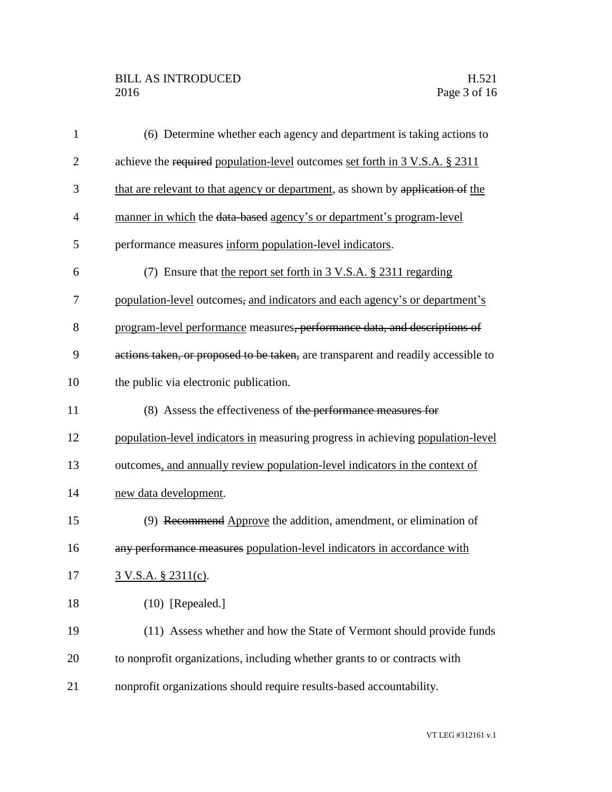## BILL AS INTRODUCED H.521<br>2016 Page 3 of 16

| $\mathbf{1}$   | (6) Determine whether each agency and department is taking actions to             |
|----------------|-----------------------------------------------------------------------------------|
| $\overline{2}$ | achieve the required population-level outcomes set forth in 3 V.S.A. § 2311       |
| 3              | that are relevant to that agency or department, as shown by application of the    |
| $\overline{4}$ | manner in which the data-based agency's or department's program-level             |
| 5              | performance measures inform population-level indicators.                          |
| 6              | (7) Ensure that the report set forth in 3 V.S.A. § 2311 regarding                 |
| 7              | population-level outcomes, and indicators and each agency's or department's       |
| 8              | program-level performance measures, performance data, and descriptions of         |
| 9              | actions taken, or proposed to be taken, are transparent and readily accessible to |
| 10             | the public via electronic publication.                                            |
| 11             | (8) Assess the effectiveness of the performance measures for                      |
| 12             | population-level indicators in measuring progress in achieving population-level   |
| 13             | outcomes, and annually review population-level indicators in the context of       |
| 14             | new data development.                                                             |
| 15             | (9) Recommend Approve the addition, amendment, or elimination of                  |
| 16             | any performance measures population-level indicators in accordance with           |
| 17             | 3 V.S.A. § 2311(c).                                                               |
| 18             | $(10)$ [Repealed.]                                                                |
| 19             | (11) Assess whether and how the State of Vermont should provide funds             |
| 20             | to nonprofit organizations, including whether grants to or contracts with         |
| 21             | nonprofit organizations should require results-based accountability.              |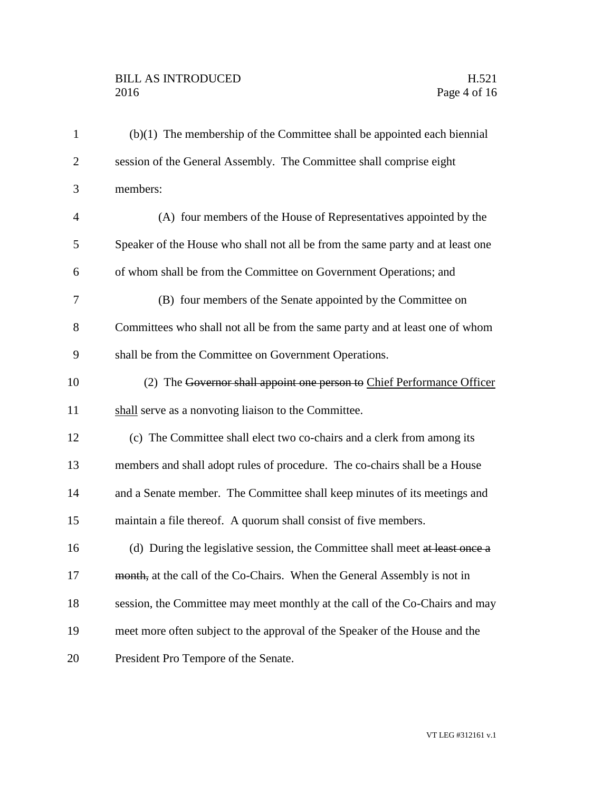# BILL AS INTRODUCED H.521<br>2016 Page 4 of 16

| $\mathbf{1}$   | $(b)(1)$ The membership of the Committee shall be appointed each biennial      |
|----------------|--------------------------------------------------------------------------------|
| $\overline{2}$ | session of the General Assembly. The Committee shall comprise eight            |
| 3              | members:                                                                       |
| 4              | (A) four members of the House of Representatives appointed by the              |
| 5              | Speaker of the House who shall not all be from the same party and at least one |
| 6              | of whom shall be from the Committee on Government Operations; and              |
| 7              | (B) four members of the Senate appointed by the Committee on                   |
| 8              | Committees who shall not all be from the same party and at least one of whom   |
| 9              | shall be from the Committee on Government Operations.                          |
| 10             | (2) The Governor shall appoint one person to Chief Performance Officer         |
| 11             | shall serve as a nonvoting liaison to the Committee.                           |
|                |                                                                                |
| 12             | (c) The Committee shall elect two co-chairs and a clerk from among its         |
| 13             | members and shall adopt rules of procedure. The co-chairs shall be a House     |
| 14             | and a Senate member. The Committee shall keep minutes of its meetings and      |
| 15             | maintain a file thereof. A quorum shall consist of five members.               |
| 16             | (d) During the legislative session, the Committee shall meet at least once a   |
| 17             | month, at the call of the Co-Chairs. When the General Assembly is not in       |
| 18             | session, the Committee may meet monthly at the call of the Co-Chairs and may   |
| 19             | meet more often subject to the approval of the Speaker of the House and the    |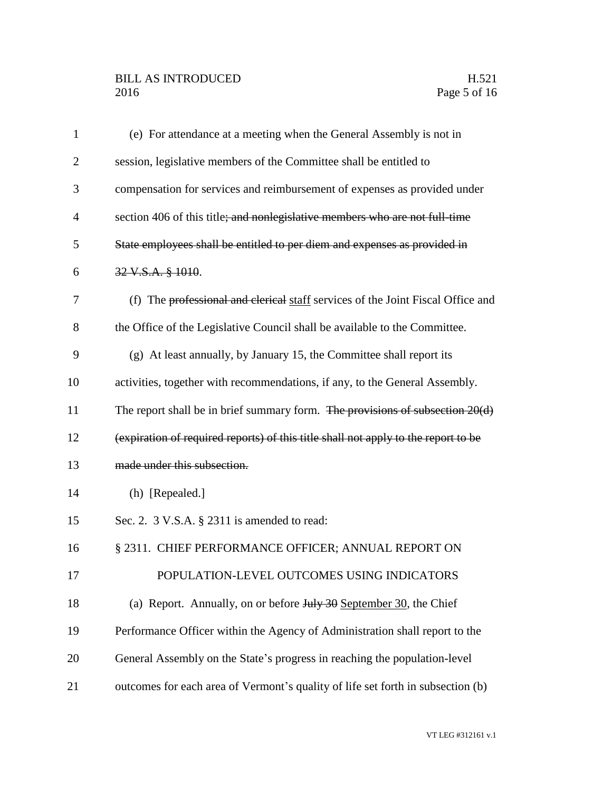## BILL AS INTRODUCED H.521<br>2016 Page 5 of 16

| $\mathbf{1}$   | (e) For attendance at a meeting when the General Assembly is not in                                 |
|----------------|-----------------------------------------------------------------------------------------------------|
| $\overline{2}$ | session, legislative members of the Committee shall be entitled to                                  |
| 3              | compensation for services and reimbursement of expenses as provided under                           |
| $\overline{4}$ | section 406 of this title; and nonlegislative members who are not full-time                         |
| 5              | State employees shall be entitled to per diem and expenses as provided in                           |
| 6              | 32 V.S.A. § 1010.                                                                                   |
| 7              | (f) The professional and elerical staff services of the Joint Fiscal Office and                     |
| 8              | the Office of the Legislative Council shall be available to the Committee.                          |
| 9              | (g) At least annually, by January 15, the Committee shall report its                                |
| 10             | activities, together with recommendations, if any, to the General Assembly.                         |
| 11             | The report shall be in brief summary form. The provisions of subsection 20(d)                       |
| 12             | (expiration of required reports) of this title shall not apply to the report to be                  |
| 13             | made under this subsection.                                                                         |
| 14             | (h) [Repealed.]                                                                                     |
| 15             | Sec. 2. 3 V.S.A. § 2311 is amended to read:                                                         |
| 16             | § 2311. CHIEF PERFORMANCE OFFICER; ANNUAL REPORT ON                                                 |
| 17             | POPULATION-LEVEL OUTCOMES USING INDICATORS                                                          |
| 18             | (a) Report. Annually, on or before $J_{\text{u}}/J_{\text{v}}/J_{\text{v}}$ September 30, the Chief |
| 19             | Performance Officer within the Agency of Administration shall report to the                         |
| 20             | General Assembly on the State's progress in reaching the population-level                           |
| 21             | outcomes for each area of Vermont's quality of life set forth in subsection (b)                     |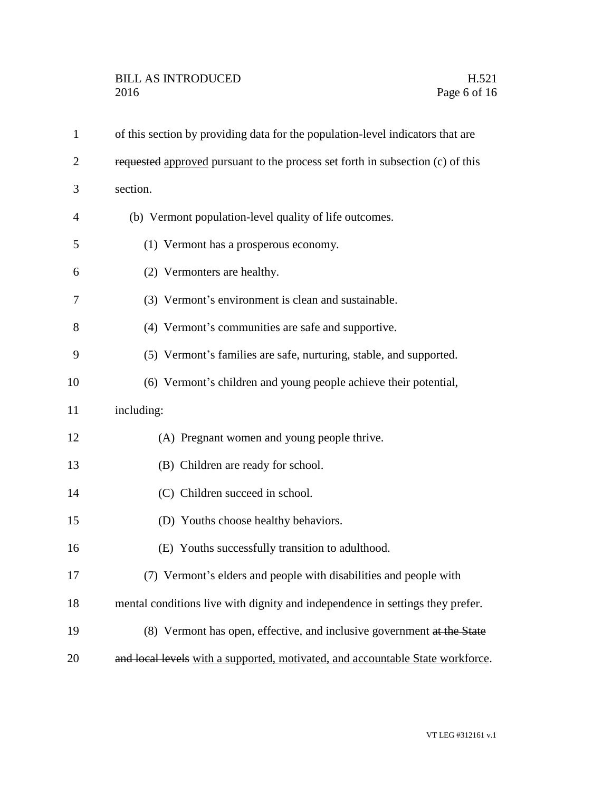| $\mathbf{1}$   | of this section by providing data for the population-level indicators that are |
|----------------|--------------------------------------------------------------------------------|
| $\overline{2}$ | requested approved pursuant to the process set forth in subsection (c) of this |
| 3              | section.                                                                       |
| 4              | (b) Vermont population-level quality of life outcomes.                         |
| 5              | (1) Vermont has a prosperous economy.                                          |
| 6              | (2) Vermonters are healthy.                                                    |
| 7              | (3) Vermont's environment is clean and sustainable.                            |
| 8              | (4) Vermont's communities are safe and supportive.                             |
| 9              | (5) Vermont's families are safe, nurturing, stable, and supported.             |
| 10             | (6) Vermont's children and young people achieve their potential,               |
| 11             | including:                                                                     |
| 12             | (A) Pregnant women and young people thrive.                                    |
| 13             | (B) Children are ready for school.                                             |
| 14             | (C) Children succeed in school.                                                |
| 15             | (D) Youths choose healthy behaviors.                                           |
| 16             | (E) Youths successfully transition to adulthood.                               |
| 17             | (7) Vermont's elders and people with disabilities and people with              |
| 18             | mental conditions live with dignity and independence in settings they prefer.  |
| 19             | (8) Vermont has open, effective, and inclusive government at the State         |
| 20             | and local levels with a supported, motivated, and accountable State workforce. |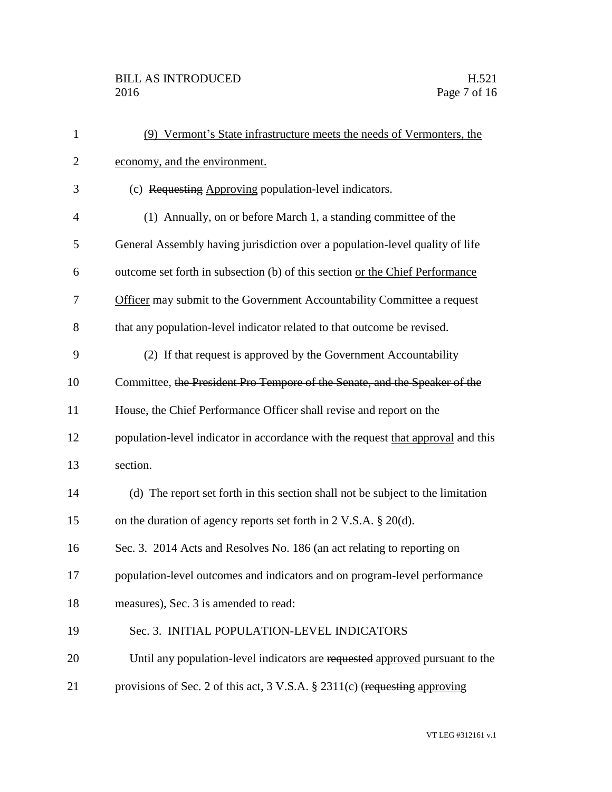## BILL AS INTRODUCED H.521<br>2016 Page 7 of 16

| $\mathbf{1}$   | (9) Vermont's State infrastructure meets the needs of Vermonters, the            |
|----------------|----------------------------------------------------------------------------------|
| $\mathbf{2}$   | economy, and the environment.                                                    |
| 3              | (c) Requesting Approving population-level indicators.                            |
| $\overline{4}$ | (1) Annually, on or before March 1, a standing committee of the                  |
| 5              | General Assembly having jurisdiction over a population-level quality of life     |
| 6              | outcome set forth in subsection (b) of this section or the Chief Performance     |
| 7              | Officer may submit to the Government Accountability Committee a request          |
| 8              | that any population-level indicator related to that outcome be revised.          |
| 9              | (2) If that request is approved by the Government Accountability                 |
| 10             | Committee, the President Pro Tempore of the Senate, and the Speaker of the       |
| 11             | House, the Chief Performance Officer shall revise and report on the              |
| 12             | population-level indicator in accordance with the request that approval and this |
| 13             | section.                                                                         |
| 14             | (d) The report set forth in this section shall not be subject to the limitation  |
| 15             | on the duration of agency reports set forth in $2$ V.S.A. $\S$ 20(d).            |
| 16             | Sec. 3. 2014 Acts and Resolves No. 186 (an act relating to reporting on          |
| 17             | population-level outcomes and indicators and on program-level performance        |
| 18             | measures), Sec. 3 is amended to read:                                            |
| 19             | Sec. 3. INITIAL POPULATION-LEVEL INDICATORS                                      |
| 20             | Until any population-level indicators are requested approved pursuant to the     |
| 21             | provisions of Sec. 2 of this act, 3 V.S.A. § 2311(c) (requesting approving       |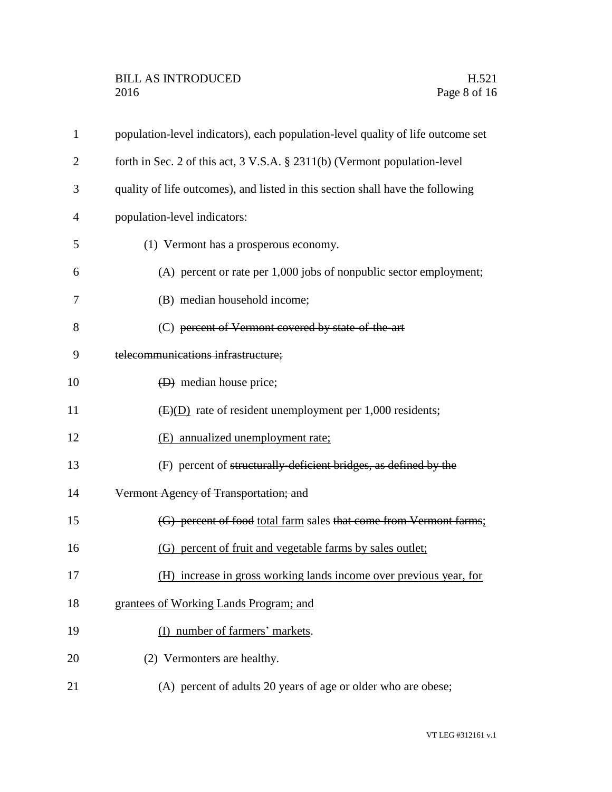| $\mathbf{1}$   | population-level indicators), each population-level quality of life outcome set |
|----------------|---------------------------------------------------------------------------------|
| $\overline{2}$ | forth in Sec. 2 of this act, 3 V.S.A. § 2311(b) (Vermont population-level       |
| 3              | quality of life outcomes), and listed in this section shall have the following  |
| 4              | population-level indicators:                                                    |
| 5              | (1) Vermont has a prosperous economy.                                           |
| 6              | (A) percent or rate per 1,000 jobs of nonpublic sector employment;              |
| 7              | (B) median household income;                                                    |
| 8              | (C) percent of Vermont covered by state of the art                              |
| 9              | telecommunications infrastructure;                                              |
| 10             | $(D)$ median house price;                                                       |
| 11             | $\overline{\text{E}(D)}$ rate of resident unemployment per 1,000 residents;     |
| 12             | (E) annualized unemployment rate;                                               |
| 13             | (F) percent of structurally deficient bridges, as defined by the                |
| 14             | Vermont Agency of Transportation; and                                           |
| 15             | (G) percent of food total farm sales that come from Vermont farms;              |
| 16             | (G) percent of fruit and vegetable farms by sales outlet;                       |
| 17             | (H) increase in gross working lands income over previous year, for              |
| 18             | grantees of Working Lands Program; and                                          |
| 19             | (I) number of farmers' markets.                                                 |
| 20             | (2) Vermonters are healthy.                                                     |
| 21             | (A) percent of adults 20 years of age or older who are obese;                   |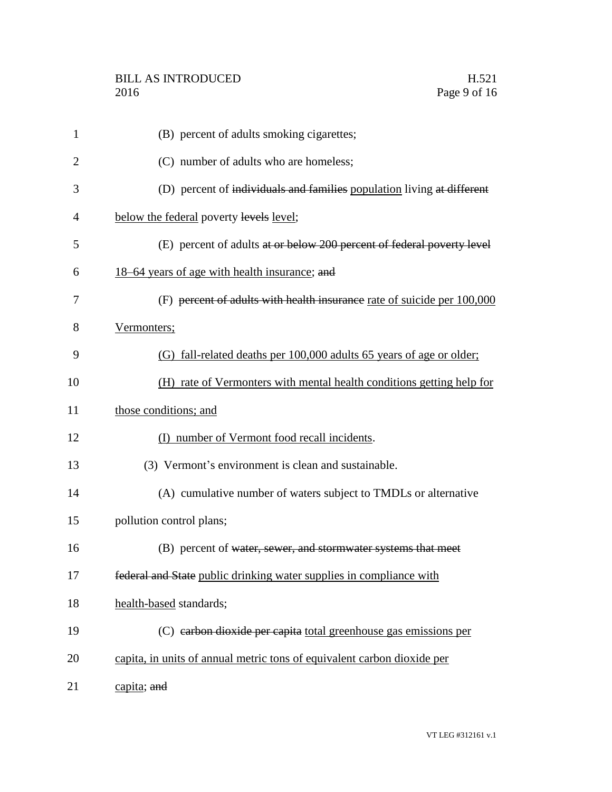| $\mathbf{1}$   | (B) percent of adults smoking cigarettes;                               |
|----------------|-------------------------------------------------------------------------|
| $\overline{2}$ | (C) number of adults who are homeless;                                  |
| 3              | (D) percent of individuals and families population living at different  |
| 4              | below the federal poverty levels level;                                 |
| 5              | (E) percent of adults at or below 200 percent of federal poverty level  |
| 6              | 18–64 years of age with health insurance; and                           |
| 7              | (F) percent of adults with health insurance rate of suicide per 100,000 |
| 8              | Vermonters;                                                             |
| 9              | (G) fall-related deaths per 100,000 adults 65 years of age or older;    |
| 10             | (H) rate of Vermonters with mental health conditions getting help for   |
| 11             | those conditions; and                                                   |
| 12             | (I) number of Vermont food recall incidents.                            |
| 13             | (3) Vermont's environment is clean and sustainable.                     |
| 14             | (A) cumulative number of waters subject to TMDLs or alternative         |
| 15             | pollution control plans;                                                |
| 16             | (B) percent of water, sewer, and stormwater systems that meet           |
| 17             | federal and State public drinking water supplies in compliance with     |
| 18             | health-based standards;                                                 |
| 19             | (C) earbon dioxide per capita total greenhouse gas emissions per        |
| 20             | capita, in units of annual metric tons of equivalent carbon dioxide per |
| 21             | capita; and                                                             |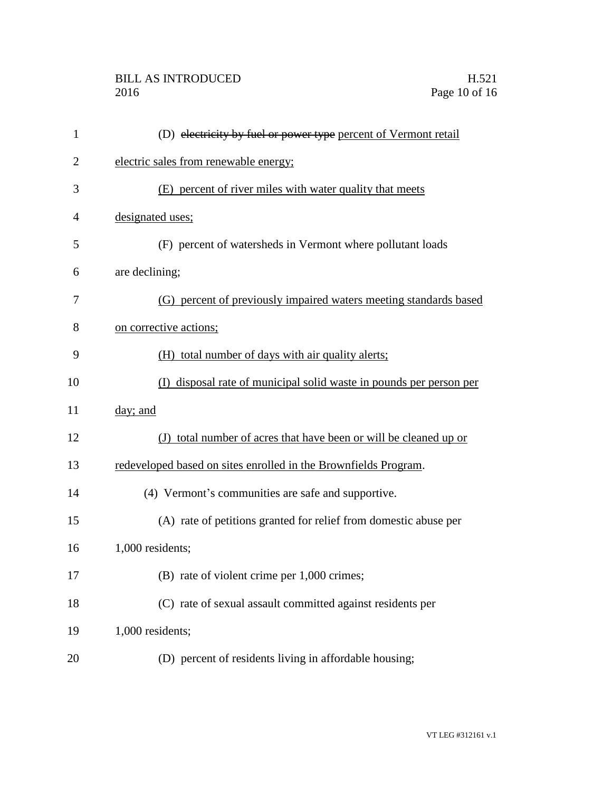## BILL AS INTRODUCED H.521<br>2016 Page 10 of 16

| 1              | (D) electricity by fuel or power type percent of Vermont retail     |
|----------------|---------------------------------------------------------------------|
| 2              | electric sales from renewable energy;                               |
| 3              | (E) percent of river miles with water quality that meets            |
| $\overline{4}$ | designated uses;                                                    |
| 5              | (F) percent of watersheds in Vermont where pollutant loads          |
| 6              | are declining;                                                      |
| 7              | (G) percent of previously impaired waters meeting standards based   |
| 8              | on corrective actions;                                              |
| 9              | (H) total number of days with air quality alerts;                   |
| 10             | (I) disposal rate of municipal solid waste in pounds per person per |
| 11             | day; and                                                            |
| 12             | (J) total number of acres that have been or will be cleaned up or   |
| 13             | redeveloped based on sites enrolled in the Brownfields Program.     |
| 14             | (4) Vermont's communities are safe and supportive.                  |
| 15             | (A) rate of petitions granted for relief from domestic abuse per    |
| 16             | 1,000 residents;                                                    |
| 17             | (B) rate of violent crime per 1,000 crimes;                         |
| 18             | (C) rate of sexual assault committed against residents per          |
| 19             | 1,000 residents;                                                    |
| 20             | (D) percent of residents living in affordable housing;              |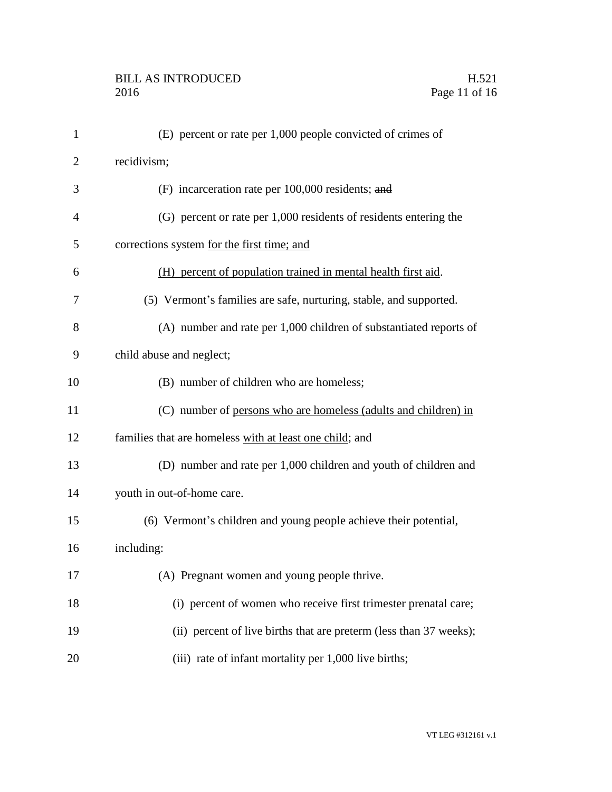| $\mathbf{1}$   | (E) percent or rate per 1,000 people convicted of crimes of        |
|----------------|--------------------------------------------------------------------|
| $\overline{2}$ | recidivism;                                                        |
| 3              | (F) incarceration rate per 100,000 residents; and                  |
| $\overline{4}$ | (G) percent or rate per 1,000 residents of residents entering the  |
| 5              | corrections system for the first time; and                         |
| 6              | (H) percent of population trained in mental health first aid.      |
| 7              | (5) Vermont's families are safe, nurturing, stable, and supported. |
| 8              | (A) number and rate per 1,000 children of substantiated reports of |
| 9              | child abuse and neglect;                                           |
| 10             | (B) number of children who are homeless;                           |
| 11             | (C) number of persons who are homeless (adults and children) in    |
| 12             | families that are homeless with at least one child; and            |
| 13             | (D) number and rate per 1,000 children and youth of children and   |
| 14             | youth in out-of-home care.                                         |
| 15             | (6) Vermont's children and young people achieve their potential,   |
| 16             | including:                                                         |
| 17             | (A) Pregnant women and young people thrive.                        |
| 18             | (i) percent of women who receive first trimester prenatal care;    |
| 19             | (ii) percent of live births that are preterm (less than 37 weeks); |
| 20             | (iii) rate of infant mortality per 1,000 live births;              |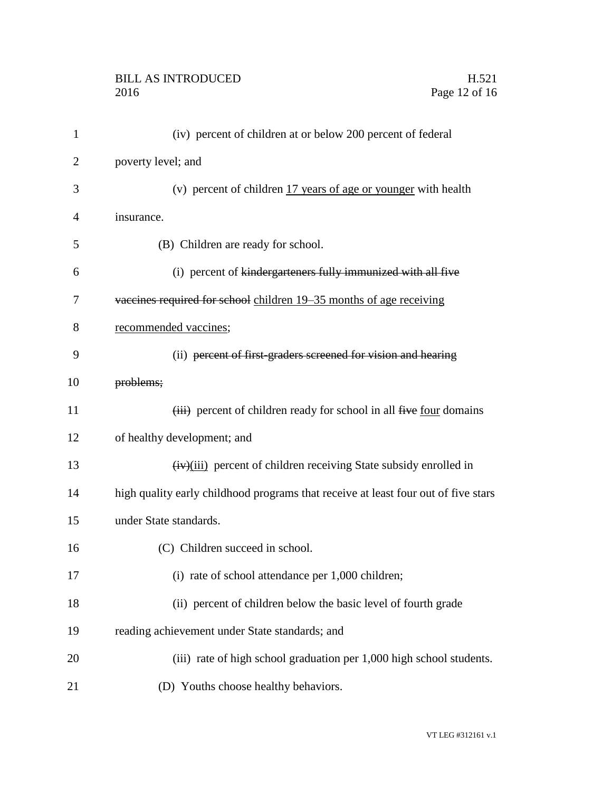## BILL AS INTRODUCED H.521<br>2016 Page 12 of 16

| 1              | (iv) percent of children at or below 200 percent of federal                        |
|----------------|------------------------------------------------------------------------------------|
| $\overline{2}$ | poverty level; and                                                                 |
| 3              | (v) percent of children 17 years of age or younger with health                     |
| 4              | insurance.                                                                         |
| 5              | (B) Children are ready for school.                                                 |
| 6              | (i) percent of kindergarteners fully immunized with all five                       |
| 7              | vaccines required for school children 19–35 months of age receiving                |
| 8              | recommended vaccines;                                                              |
| 9              | (ii) percent of first-graders screened for vision and hearing                      |
| 10             | problems;                                                                          |
| 11             | (iii) percent of children ready for school in all five four domains                |
| 12             | of healthy development; and                                                        |
| 13             | $\frac{H(x)}{H(x)}$ percent of children receiving State subsidy enrolled in        |
| 14             | high quality early childhood programs that receive at least four out of five stars |
| 15             | under State standards.                                                             |
| 16             | (C) Children succeed in school.                                                    |
| 17             | (i) rate of school attendance per 1,000 children;                                  |
| 18             | (ii) percent of children below the basic level of fourth grade                     |
| 19             | reading achievement under State standards; and                                     |
| 20             | (iii) rate of high school graduation per 1,000 high school students.               |
| 21             | (D) Youths choose healthy behaviors.                                               |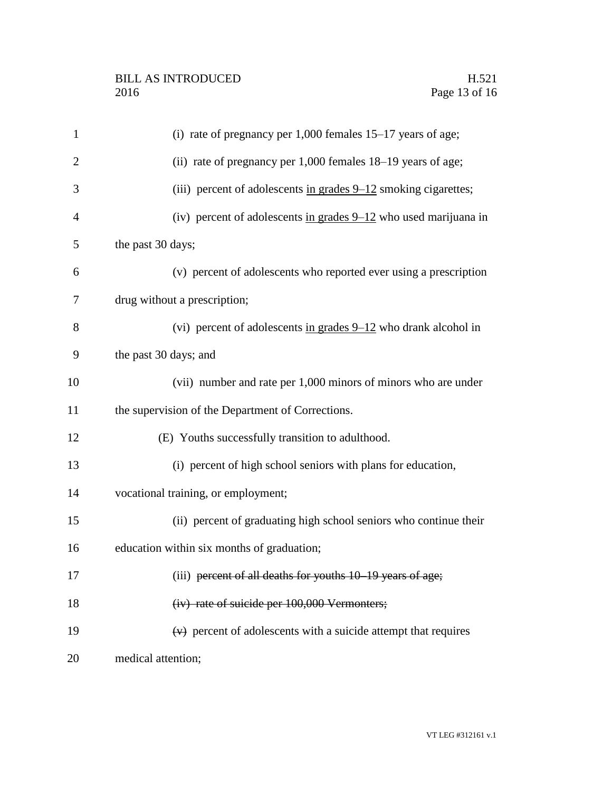| $\mathbf{1}$   | (i) rate of pregnancy per $1,000$ females $15-17$ years of age;    |
|----------------|--------------------------------------------------------------------|
| $\overline{2}$ | (ii) rate of pregnancy per 1,000 females 18–19 years of age;       |
| 3              | (iii) percent of adolescents in grades $9-12$ smoking cigarettes;  |
| $\overline{4}$ | (iv) percent of adolescents in grades $9-12$ who used marijuana in |
| 5              | the past 30 days;                                                  |
| 6              | (v) percent of adolescents who reported ever using a prescription  |
| 7              | drug without a prescription;                                       |
| 8              | (vi) percent of adolescents in grades $9-12$ who drank alcohol in  |
| 9              | the past 30 days; and                                              |
| 10             | (vii) number and rate per 1,000 minors of minors who are under     |
| 11             | the supervision of the Department of Corrections.                  |
| 12             | (E) Youths successfully transition to adulthood.                   |
| 13             | (i) percent of high school seniors with plans for education,       |
| 14             | vocational training, or employment;                                |
| 15             | (ii) percent of graduating high school seniors who continue their  |
| 16             | education within six months of graduation;                         |
| 17             | (iii) percent of all deaths for youths 10 19 years of age;         |
| 18             | (iv) rate of suicide per 100,000 Vermonters;                       |
| 19             | $(v)$ percent of adolescents with a suicide attempt that requires  |
| 20             | medical attention;                                                 |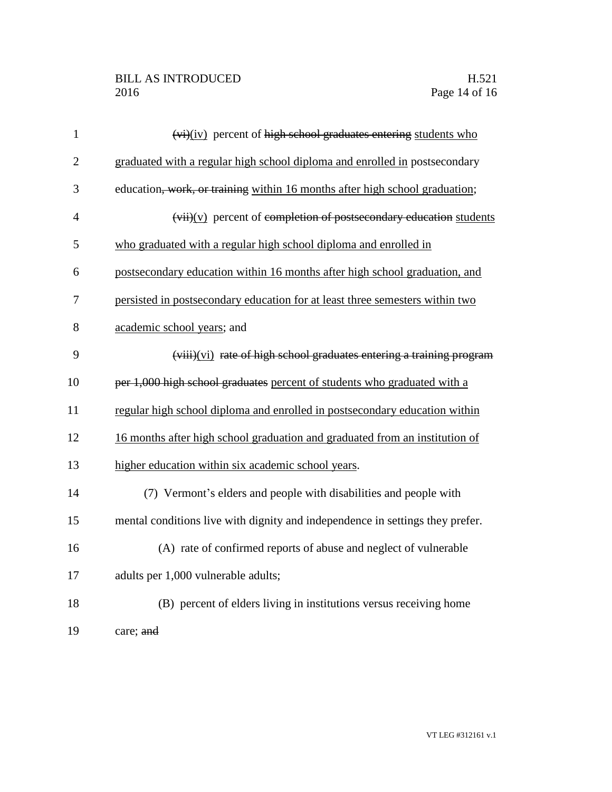| $\mathbf{1}$   | $(v_i)(iv)$ percent of high school graduates entering students who            |
|----------------|-------------------------------------------------------------------------------|
| $\overline{2}$ | graduated with a regular high school diploma and enrolled in postsecondary    |
| 3              | education, work, or training within 16 months after high school graduation;   |
| $\overline{4}$ | $(vii)(v)$ percent of completion of postsecondary education students          |
| 5              | who graduated with a regular high school diploma and enrolled in              |
| 6              | postsecondary education within 16 months after high school graduation, and    |
| 7              | persisted in postsecondary education for at least three semesters within two  |
| 8              | academic school years; and                                                    |
| 9              | (viii)(vi) rate of high school graduates entering a training program          |
| 10             | per 1,000 high school graduates percent of students who graduated with a      |
| 11             | regular high school diploma and enrolled in postsecondary education within    |
| 12             | 16 months after high school graduation and graduated from an institution of   |
| 13             | higher education within six academic school years.                            |
| 14             | (7) Vermont's elders and people with disabilities and people with             |
| 15             | mental conditions live with dignity and independence in settings they prefer. |
| 16             | (A) rate of confirmed reports of abuse and neglect of vulnerable              |
| 17             | adults per 1,000 vulnerable adults;                                           |
| 18             | (B) percent of elders living in institutions versus receiving home            |
| 19             | care; and                                                                     |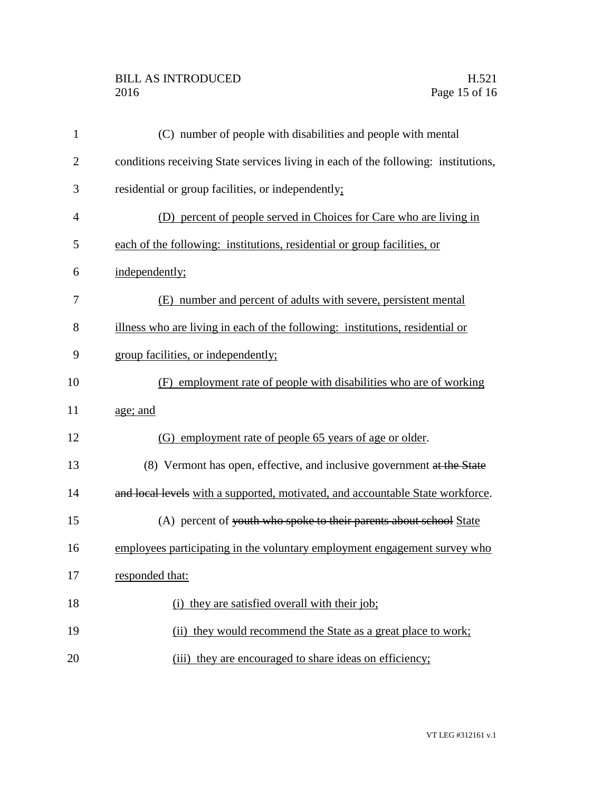## BILL AS INTRODUCED H.521<br>2016 Page 15 of 16

| $\mathbf{1}$   | (C) number of people with disabilities and people with mental                      |
|----------------|------------------------------------------------------------------------------------|
| $\overline{2}$ | conditions receiving State services living in each of the following: institutions, |
| 3              | residential or group facilities, or independently;                                 |
| $\overline{4}$ | (D) percent of people served in Choices for Care who are living in                 |
| 5              | each of the following: institutions, residential or group facilities, or           |
| 6              | independently;                                                                     |
| 7              | (E) number and percent of adults with severe, persistent mental                    |
| 8              | illness who are living in each of the following: institutions, residential or      |
| 9              | group facilities, or independently;                                                |
| 10             | (F) employment rate of people with disabilities who are of working                 |
| 11             | age; and                                                                           |
| 12             | (G) employment rate of people 65 years of age or older.                            |
| 13             | (8) Vermont has open, effective, and inclusive government at the State             |
| 14             | and local levels with a supported, motivated, and accountable State workforce.     |
| 15             | (A) percent of youth who spoke to their parents about school State                 |
| 16             | employees participating in the voluntary employment engagement survey who          |
| 17             | responded that:                                                                    |
| 18             | (i) they are satisfied overall with their job;                                     |
| 19             | (ii) they would recommend the State as a great place to work;                      |
| 20             | (iii) they are encouraged to share ideas on efficiency;                            |